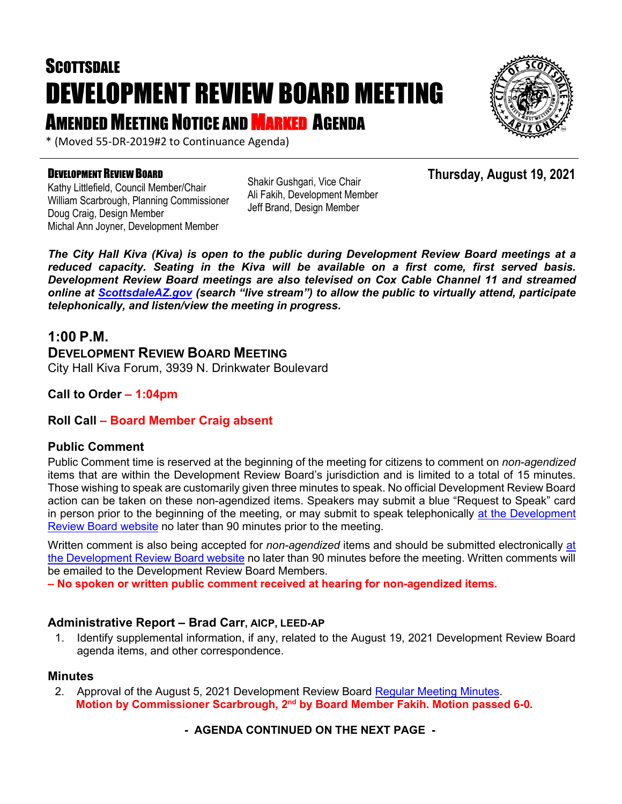# **SCOTTSDALE** DEVELOPMENT REVIEW BOARD MEETING **AMENDED MEETING NOTICE AND MARKED AGENDA**



\* (Moved 55-DR-2019#2 to Continuance Agenda)

#### DEVELOPMENT REVIEW BOARD

Kathy Littlefield, Council Member/Chair William Scarbrough, Planning Commissioner Doug Craig, Design Member Michal Ann Joyner, Development Member

Shakir Gushgari, Vice Chair Ali Fakih, Development Member Jeff Brand, Design Member

**Thursday, August 19, 2021**

*The City Hall Kiva (Kiva) is open to the public during Development Review Board meetings at a reduced capacity. Seating in the Kiva will be available on a first come, first served basis. Development Review Board meetings are also televised on Cox Cable Channel 11 and streamed online at [ScottsdaleAZ.gov](http://www.scottsdaleaz.gov/) (search "live stream") to allow the public to virtually attend, participate telephonically, and listen/view the meeting in progress.*

## **1:00 P.M.**

## **DEVELOPMENT REVIEW BOARD MEETING**  City Hall Kiva Forum, 3939 N. Drinkwater Boulevard

**Call to Order – 1:04pm**

## **Roll Call – Board Member Craig absent**

## **Public Comment**

Public Comment time is reserved at the beginning of the meeting for citizens to comment on *non-agendized* items that are within the Development Review Board's jurisdiction and is limited to a total of 15 minutes. Those wishing to speak are customarily given three minutes to speak. No official Development Review Board action can be taken on these non-agendized items. Speakers may submit a blue "Request to Speak" card in person prior to the beginning of the meeting, or may submit to speak telephonically [at the Development](https://www.scottsdaleaz.gov/boards/development-review-board/spoken-comment)  [Review Board website](https://www.scottsdaleaz.gov/boards/development-review-board/spoken-comment) no later than 90 minutes prior to the meeting.

Written comment is also being accepted for *non-agendized* items and should be submitted electronically [at](https://www.scottsdaleaz.gov/boards/development-review-board/public-comment)  [the Development Review Board website](https://www.scottsdaleaz.gov/boards/development-review-board/public-comment) no later than 90 minutes before the meeting. Written comments will be emailed to the Development Review Board Members.

**– No spoken or written public comment received at hearing for non-agendized items.**

## **Administrative Report – Brad Carr, AICP, LEED-AP**

1. Identify supplemental information, if any, related to the August 19, 2021 Development Review Board agenda items, and other correspondence.

## **Minutes**

2. Approval of the August 5, 2021 Development Review Board [Regular Meeting Minutes.](https://eservices.scottsdaleaz.gov/planning/projectsummary/unrelated_documents/DRB_MEETING_MINUTES_08052021.pdf) **Motion by Commissioner Scarbrough, 2nd by Board Member Fakih. Motion passed 6-0.**

## **- AGENDA CONTINUED ON THE NEXT PAGE -**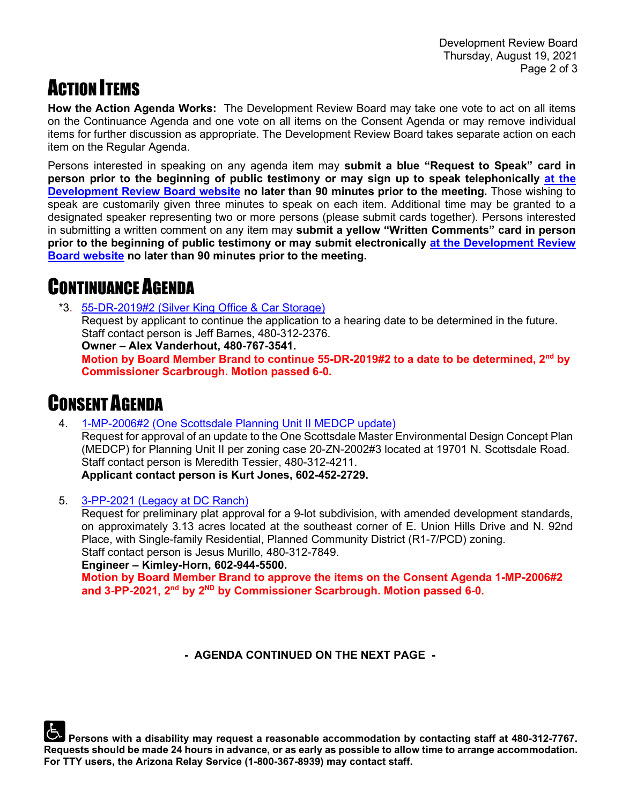## **ACTION ITEMS**

**How the Action Agenda Works:** The Development Review Board may take one vote to act on all items on the Continuance Agenda and one vote on all items on the Consent Agenda or may remove individual items for further discussion as appropriate. The Development Review Board takes separate action on each item on the Regular Agenda.

Persons interested in speaking on any agenda item may **submit a blue "Request to Speak" card in person prior to the beginning of public testimony or may sign up to speak telephonically [at the](https://www.scottsdaleaz.gov/boards/development-review-board/spoken-comment)  [Development Review Board website](https://www.scottsdaleaz.gov/boards/development-review-board/spoken-comment) no later than 90 minutes prior to the meeting.** Those wishing to speak are customarily given three minutes to speak on each item. Additional time may be granted to a designated speaker representing two or more persons (please submit cards together). Persons interested in submitting a written comment on any item may **submit a yellow "Written Comments" card in person prior to the beginning of public testimony or may submit electronically [at the Development Review](https://www.scottsdaleaz.gov/boards/development-review-board/public-comment)  [Board website](https://www.scottsdaleaz.gov/boards/development-review-board/public-comment) no later than 90 minutes prior to the meeting.**

## CONTINUANCE AGENDA

\*3. [55-DR-2019#2 \(Silver King Office & Car Storage\)](https://eservices.scottsdaleaz.gov/planning/projectsummary/dr_reports/DR_55_DR_2019_2.pdf)

Request by applicant to continue the application to a hearing date to be determined in the future. Staff contact person is Jeff Barnes, 480-312-2376.

**Owner – Alex Vanderhout, 480-767-3541.**

**Motion by Board Member Brand to continue 55-DR-2019#2 to a date to be determined, 2nd by Commissioner Scarbrough. Motion passed 6-0.**

## CONSENT AGENDA

4. [1-MP-2006#2 \(One Scottsdale Planning Unit II MEDCP update\)](https://eservices.scottsdaleaz.gov/planning/projectsummary/dr_reports/DR_1_MP_2006_2.pdf)

Request for approval of an update to the One Scottsdale Master Environmental Design Concept Plan (MEDCP) for Planning Unit II per zoning case 20-ZN-2002#3 located at 19701 N. Scottsdale Road. Staff contact person is Meredith Tessier, 480-312-4211. **Applicant contact person is Kurt Jones, 602-452-2729.**

5. [3-PP-2021 \(Legacy at DC Ranch\)](https://eservices.scottsdaleaz.gov/planning/projectsummary/dr_reports/DR_3_PP_2021.pdf)

Request for preliminary plat approval for a 9-lot subdivision, with amended development standards, on approximately 3.13 acres located at the southeast corner of E. Union Hills Drive and N. 92nd Place, with Single-family Residential, Planned Community District (R1-7/PCD) zoning. Staff contact person is Jesus Murillo, 480-312-7849.

**Engineer – Kimley-Horn, 602-944-5500.** 

**Motion by Board Member Brand to approve the items on the Consent Agenda 1-MP-2006#2 and 3-PP-2021, 2nd by 2ND by Commissioner Scarbrough. Motion passed 6-0.**

**- AGENDA CONTINUED ON THE NEXT PAGE -**

**Persons with a disability may request a reasonable accommodation by contacting staff at 480-312-7767. Requests should be made 24 hours in advance, or as early as possible to allow time to arrange accommodation. For TTY users, the Arizona Relay Service (1-800-367-8939) may contact staff.**